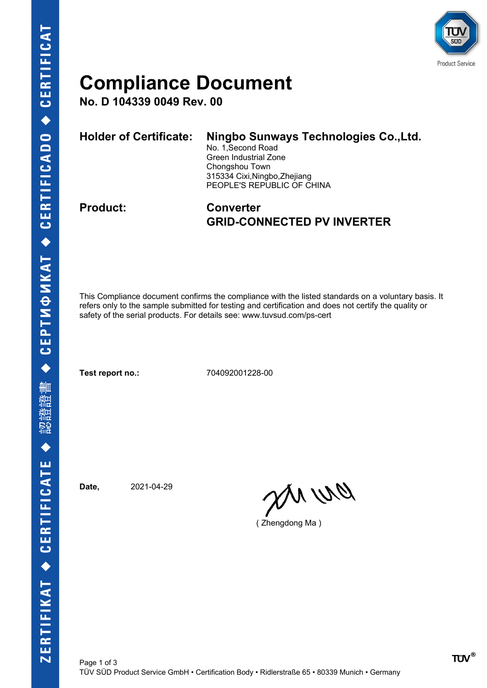

## **Compliance Document**

**No. D 104339 0049 Rev. 00**

| Holder of Certificate: | Ningbo Sunways Technologies Co., Ltd.<br>No. 1, Second Road<br>Green Industrial Zone<br>Chongshou Town<br>315334 Cixi, Ningbo, Zhejiang<br>PEOPLE'S REPUBLIC OF CHINA |
|------------------------|-----------------------------------------------------------------------------------------------------------------------------------------------------------------------|
|                        |                                                                                                                                                                       |

### **Product: Converter GRID-CONNECTED PV INVERTER**

This Compliance document confirms the compliance with the listed standards on a voluntary basis. It refers only to the sample submitted for testing and certification and does not certify the quality or safety of the serial products. For details see: www.tuvsud.com/ps-cert

**Test report no.:** 704092001228-00

**Date,** 2021-04-29

en un

( Zhengdong Ma )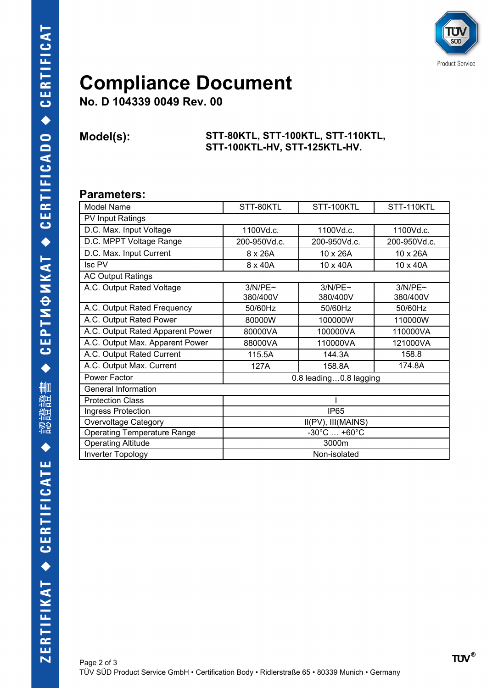

## **Compliance Document**

**No. D 104339 0049 Rev. 00**

#### **Model(s): STT-80KTL, STT-100KTL, STT-110KTL, STT-100KTL-HV, STT-125KTL-HV.**

### **Parameters:**

| Model Name                         | STT-80KTL                        | STT-100KTL          | STT-110KTL          |  |
|------------------------------------|----------------------------------|---------------------|---------------------|--|
| PV Input Ratings                   |                                  |                     |                     |  |
| D.C. Max. Input Voltage            | 1100Vd.c.                        | 1100Vd.c.           | 1100Vd.c.           |  |
| D.C. MPPT Voltage Range            | 200-950Vd.c.                     | 200-950Vd.c.        | 200-950Vd.c.        |  |
| D.C. Max. Input Current            | 8 x 26A                          | 10 x 26A            | 10 x 26A            |  |
| <b>Isc PV</b>                      | 8 x 40A                          | 10 x 40A            | 10 x 40A            |  |
| <b>AC Output Ratings</b>           |                                  |                     |                     |  |
| A.C. Output Rated Voltage          | 3/N/PE~<br>380/400V              | 3/N/PE~<br>380/400V | 3/N/PE~<br>380/400V |  |
| A.C. Output Rated Frequency        | 50/60Hz                          | 50/60Hz             | 50/60Hz             |  |
| A.C. Output Rated Power            | 80000W                           | 100000W             | 110000W             |  |
| A.C. Output Rated Apparent Power   | 80000VA                          | 100000VA            | 110000VA            |  |
| A.C. Output Max. Apparent Power    | 88000VA                          | 110000VA            | 121000VA            |  |
| A.C. Output Rated Current          | 115.5A                           | 144.3A              | 158.8               |  |
| A.C. Output Max. Current           | 127A                             | 158.8A              | 174.8A              |  |
| Power Factor                       | 0.8 leading0.8 lagging           |                     |                     |  |
| <b>General Information</b>         |                                  |                     |                     |  |
| <b>Protection Class</b>            |                                  |                     |                     |  |
| Ingress Protection                 | IP <sub>65</sub>                 |                     |                     |  |
| <b>Overvoltage Category</b>        | II(PV), III(MAINS)               |                     |                     |  |
| <b>Operating Temperature Range</b> | $-30^{\circ}$ C $ +60^{\circ}$ C |                     |                     |  |
| <b>Operating Altitude</b>          | 3000m                            |                     |                     |  |
| <b>Inverter Topology</b>           | Non-isolated                     |                     |                     |  |